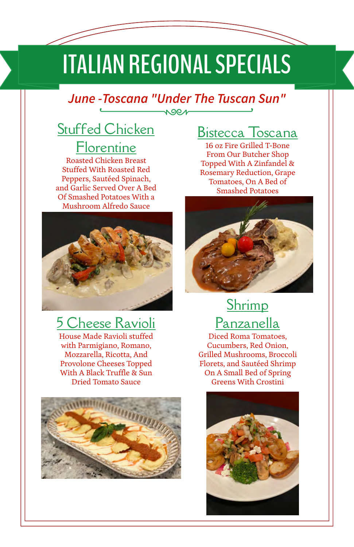# **ITALIAN REGIONAL SPECIALS**

#### *June -Toscana "Under The Tuscan Sun"*  $\sqrt{90}$

## **Stuffed Chicken**

**Florentine** Roasted Chicken Breast Stuffed With Roasted Red Peppers, Sautéed Spinach, and Garlic Served Over A Bed Of Smashed Potatoes With a Mushroom Alfredo Sauce



## 5 Cheese Ravioli

House Made Ravioli stuffed with Parmigiano, Romano, Mozzarella, Ricotta, And Provolone Cheeses Topped With A Black Truffle & Sun Dried Tomato Sauce



#### Bistecca Toscana

16 oz Fire Grilled T-Bone From Our Butcher Shop Topped With A Zinfandel & Rosemary Reduction, Grape Tomatoes, On A Bed of Smashed Potatoes



## Shrimp Panzanella

Diced Roma Tomatoes, Cucumbers, Red Onion, Grilled Mushrooms, Broccoli Florets, and Sautéed Shrimp On A Small Bed of Spring Greens With Crostini

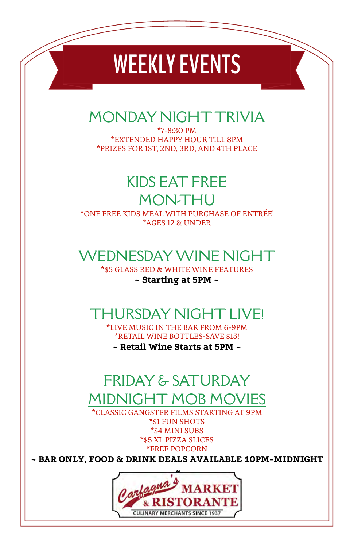## **WEEKLY EVENTS**

### MONDAY NIGHT TRIVIA

\*7-8:30 PM \*EXTENDED HAPPY HOUR TILL 8PM \*PRIZES FOR 1ST, 2ND, 3RD, AND 4TH PLACE

## KIDS EAT FREE

#### MON-T

\*ONE FREE KIDS MEAL WITH PURCHASE OF ENTRÉE' \*AGES 12 & UNDER

### WEDNESDAY WINE NIGHT

\*\$5 GLASS RED & WHITE WINE FEATURES

#### **~ Starting at 5PM ~**

## HURSDAY NIGHT LIVE!

\*LIVE MUSIC IN THE BAR FROM 6-9PM \*RETAIL WINE BOTTLES-SAVE \$15!

**~ Retail Wine Starts at 5PM ~**

### FRIDAY & SATURDAY MIDNIGHT MOB MOVIES

\*CLASSIC GANGSTER FILMS STARTING AT 9PM \*\$1 FUN SHOTS \*\$4 MINI SUBS \*\$5 XL PIZZA SLICES \*FREE POPCORN

**~ BAR ONLY, FOOD & DRINK DEALS AVAILABLE 10PM-MIDNIGHT**

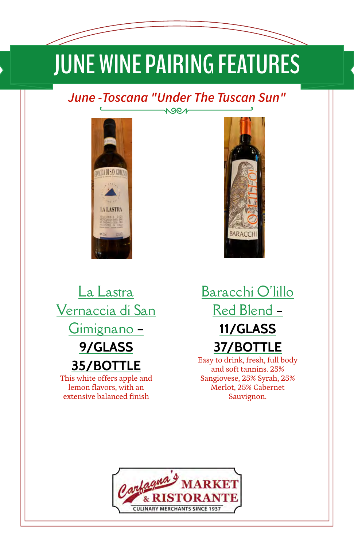# **JUNE WINE PAIRING FEATURES**

#### *June -Toscana "Under The Tuscan Sun"* NOON





La Lastra Vernaccia di San Gimignano **– 9/GLASS 35/BOTTLE** This white offers apple and lemon flavors, with an extensive balanced finish

Baracchi O'lillo Red Blend **– 11/GLASS 37/BOTTLE**

Easy to drink, fresh, full body and soft tannins. 25% Sangiovese, 25% Syrah, 25% Merlot, 25% Cabernet Sauvignon.